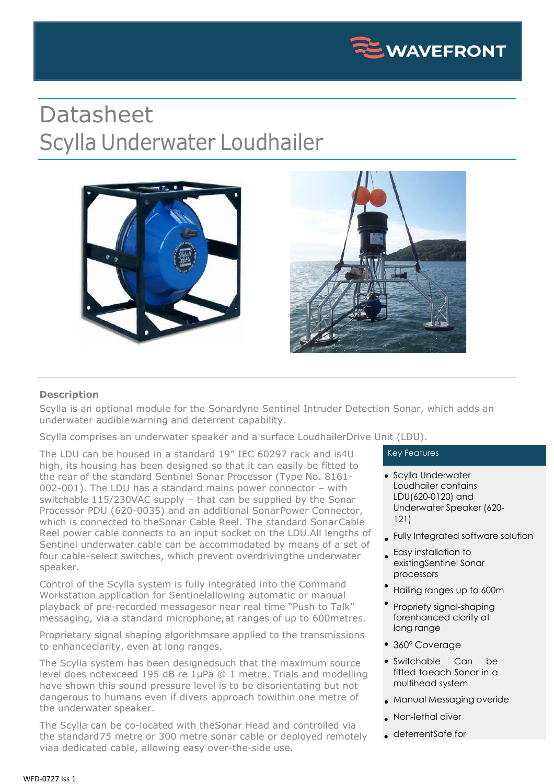

## Datasheet Scylla Underwater Loudhailer



## **Description**

Scylla is an optional module for the Sonardyne Sentinel Intruder Detection Sonar, which adds an underwater audiblewarning and deterrent capability.

Scylla comprises an underwater speaker and a surface LoudhailerDrive Unit (LDU).

The LDU can be housed in a standard 19" IEC 60297 rack and is4U high, its housing has been designed so that it can easily be fitted to the rear of the standard Sentinel Sonar Processor (Type No. 8161- 002-001). The LDU has a standard mains power connector – with switchable 115/230VAC supply – that can be supplied by the Sonar Processor PDU (620-0035) and an additional SonarPower Connector, which is connected to theSonar Cable Reel. The standard SonarCable Reel power cable connects to an input socket on the LDU.All lengths of Sentinel underwater cable can be accommodated by means of a set of four cable-select switches, which prevent overdrivingthe underwater speaker.

Control of the Scylla system is fully integrated into the Command Workstation application for Sentinelallowing automatic or manual playback of pre-recorded messagesor near real time "Push to Talk" messaging, via a standard microphone,at ranges of up to 600metres.

Proprietary signal shaping algorithmsare applied to the transmissions to enhanceclarity, even at long ranges.

The Scylla system has been designedsuch that the maximum source level does notexceed 195 dB re 1µPa @ 1 metre. Trials and modelling have shown this sound pressure level is to be disorientating but not dangerous to humans even if divers approach towithin one metre of the underwater speaker.

The Scylla can be co-located with theSonar Head and controlled via the standard75 metre or 300 metre sonar cable or deployed remotely viaa dedicated cable, allowing easy over-the-side use.

## Key Features

- Scylla Underwater Loudhailer contains LDU(620-0120) and Underwater Speaker (620- 121)
- Fully Integrated software solution
- Easy installation to existingSentinel Sonar processors
- Hailing ranges up to 600m
- Propriety signal-shaping forenhanced clarity at long range
- 360° Coverage
- Switchable Can be fitted toeach Sonar in a multihead system
- Manual Messaging overide
- . Non-lethal diver
- deterrentSafe for